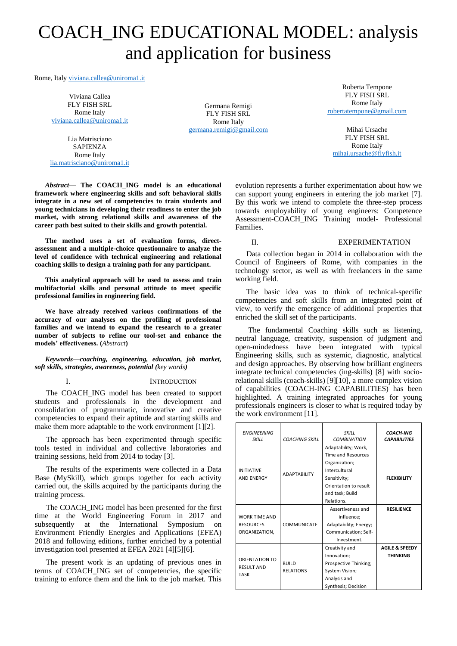# COACH\_ING EDUCATIONAL MODEL: analysis and application for business

Rome, Ital[y viviana.callea@uniroma1.it](mailto:viviana.callea@uniroma1.it)

Viviana Callea FLY FISH SRL Rome Italy [viviana.callea@uniroma1.it](mailto:viviana.callea@uniroma1.it)

Lia Matrisciano **SAPIENZA** Rome Italy [lia.matrisciano@uniroma1.it](mailto:lia.matrisciano@uniroma1.it)

Germana Remigi FLY FISH SRL Rome Italy [germana.remigi@gmail.com](mailto:germana.remigi@gmail.com)

Roberta Tempone FLY FISH SRL Rome Italy [robertatempone@gmail.com](mailto:robertatempone@gmail.com)

Mihai Ursache FLY FISH SRL Rome Italy [mihai.ursache@flyfish.it](mailto:mihai.ursache@flyfish.it)

*Abstract***— The COACH\_ING model is an educational framework where engineering skills and soft behavioral skills integrate in a new set of competencies to train students and young technicians in developing their readiness to enter the job market, with strong relational skills and awareness of the career path best suited to their skills and growth potential.**

**The method uses a set of evaluation forms, directassessment and a multiple-choice questionnaire to analyze the level of confidence with technical engineering and relational coaching skills to design a training path for any participant.**

**This analytical approach will be used to assess and train multifactorial skills and personal attitude to meet specific professional families in engineering field.**

**We have already received various confirmations of the accuracy of our analyses on the profiling of professional families and we intend to expand the research to a greater number of subjects to refine our tool-set and enhance the models' effectiveness. (***Abstract***)**

*Keywords—coaching, engineering, education, job market, soft skills, strategies, awareness, potential (key words)*

#### I. INTRODUCTION

The COACH\_ING model has been created to support students and professionals in the development and consolidation of programmatic, innovative and creative competencies to expand their aptitude and starting skills and make them more adaptable to the work environment [1][2].

The approach has been experimented through specific tools tested in individual and collective laboratories and training sessions, held from 2014 to today [3].

The results of the experiments were collected in a Data Base (MySkill), which groups together for each activity carried out, the skills acquired by the participants during the training process.

The COACH\_ING model has been presented for the first time at the World Engineering Forum in 2017 and subsequently at the International Symposium on Environment Friendly Energies and Applications (EFEA) 2018 and following editions, further enriched by a potential investigation tool presented at EFEA 2021 [4][5][6].

The present work is an updating of previous ones in terms of COACH\_ING set of competencies, the specific training to enforce them and the link to the job market. This evolution represents a further experimentation about how we can support young engineers in entering the job market [7]. By this work we intend to complete the three-step process towards employability of young engineers: Competence Assessment-COACH\_ING Training model- Professional Families.

## II. EXPERIMENTATION

Data collection began in 2014 in collaboration with the Council of Engineers of Rome, with companies in the technology sector, as well as with freelancers in the same working field.

The basic idea was to think of technical-specific competencies and soft skills from an integrated point of view, to verify the emergence of additional properties that enriched the skill set of the participants.

The fundamental Coaching skills such as listening, neutral language, creativity, suspension of judgment and open-mindedness have been integrated with typical Engineering skills, such as systemic, diagnostic, analytical and design approaches. By observing how brilliant engineers integrate technical competencies (ing-skills) [8] with sociorelational skills (coach-skills) [9][10], a more complex vision of capabilities (COACH-ING CAPABILITIES) has been highlighted. A training integrated approaches for young professionals engineers is closer to what is required today by the work environment [11].

| <b>ENGINEERING</b><br><b>SKILL</b>                 | <b>COACHING SKILL</b> | <b>SKILL</b><br><b>COMBINATION</b> | <b>COACH-ING</b><br><b>CAPABILITIES</b> |
|----------------------------------------------------|-----------------------|------------------------------------|-----------------------------------------|
| <b>INITIATIVE</b><br><b>AND ENERGY</b>             | <b>ADAPTABILITY</b>   | Adaptability; Work,                |                                         |
|                                                    |                       | <b>Time and Resources</b>          |                                         |
|                                                    |                       | Organization;                      |                                         |
|                                                    |                       | Intercultural                      |                                         |
|                                                    |                       | Sensitivity;                       | <b>FLEXIBILITY</b>                      |
|                                                    |                       | Orientation to result              |                                         |
|                                                    |                       | and task; Build                    |                                         |
|                                                    |                       | Relations.                         |                                         |
|                                                    |                       | Assertiveness and                  | <b>RESILIENCE</b>                       |
| <b>WORK TIME AND</b>                               |                       | influence;                         |                                         |
| <b>RESOURCES</b>                                   | <b>COMMUNICATE</b>    | Adaptability; Energy;              |                                         |
| ORGANIZATION,                                      |                       | Communication; Self-               |                                         |
|                                                    |                       | Investment.                        |                                         |
| ORIENTATION TO<br><b>RESULT AND</b><br><b>TASK</b> |                       | Creativity and                     | <b>AGILE &amp; SPEEDY</b>               |
|                                                    |                       | Innovation;                        | <b>THINKING</b>                         |
|                                                    | <b>BUILD</b>          | Prospective Thinking;              |                                         |
|                                                    | <b>RELATIONS</b>      | System Vision;                     |                                         |
|                                                    |                       | Analysis and                       |                                         |
|                                                    |                       | Synthesis; Decision                |                                         |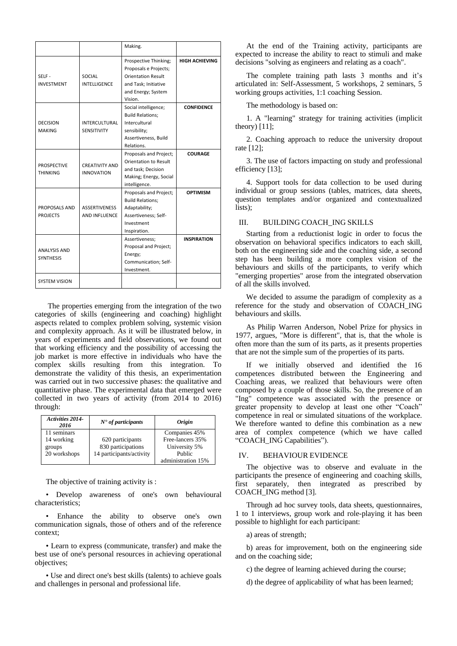|                                         |                                            | Making.                                                                                                                              |                       |
|-----------------------------------------|--------------------------------------------|--------------------------------------------------------------------------------------------------------------------------------------|-----------------------|
| SELF-<br><b>INVESTMENT</b>              | SOCIAL<br><b>INTELLIGENCE</b>              | Prospective Thinking;<br>Proposals e Projects;<br><b>Orientation Result</b><br>and Task; Initiative<br>and Energy; System<br>Vision. | <b>HIGH ACHIEVING</b> |
| <b>DECISION</b><br><b>MAKING</b>        | <b>INTERCULTURAL</b><br>SENSITIVITY        | Social intelligence;<br><b>Build Relations;</b><br>Intercultural<br>sensibility;<br>Assertiveness, Build<br>Relations.               | <b>CONFIDENCE</b>     |
| <b>PROSPECTIVE</b><br><b>THINKING</b>   | <b>CREATIVITY AND</b><br><b>INNOVATION</b> | Proposals and Project;<br><b>Orientation to Result</b><br>and task; Decision<br>Making; Energy, Social<br>intelligence.              | <b>COURAGE</b>        |
| PROPOSALS AND<br><b>PROJECTS</b>        | <b>ASSERTIVENESS</b><br>AND INFLUENCE      | Proposals and Project;<br><b>Build Relations;</b><br>Adaptability;<br>Assertiveness; Self-<br>Investment<br>Inspiration.             | <b>OPTIMISM</b>       |
| <b>ANALYSIS AND</b><br><b>SYNTHESIS</b> |                                            | Assertiveness;<br>Proposal and Project;<br>Energy;<br>Communication; Self-<br>Investment.                                            | <b>INSPIRATION</b>    |
| <b>SYSTEM VISION</b>                    |                                            |                                                                                                                                      |                       |

The properties emerging from the integration of the two categories of skills (engineering and coaching) highlight aspects related to complex problem solving, systemic vision and complexity approach. As it will be illustrated below, in years of experiments and field observations, we found out that working efficiency and the possibility of accessing the job market is more effective in individuals who have the complex skills resulting from this integration. To demonstrate the validity of this thesis, an experimentation was carried out in two successive phases: the qualitative and quantitative phase. The experimental data that emerged were collected in two years of activity (from 2014 to 2016) through:

| <b>Activities 2014-</b><br>2016 | $N^{\bullet}$ of participants | <i><b>Origin</b></i> |
|---------------------------------|-------------------------------|----------------------|
| 11 seminars                     |                               | Companies 45%        |
| 14 working                      | 620 participants              | Free-lancers 35%     |
| groups                          | 830 participations            | University 5%        |
| 20 workshops                    | 14 participants/activity      | Public               |
|                                 |                               | administration 15%   |

The objective of training activity is :

• Develop awareness of one's own behavioural characteristics;

• Enhance the ability to observe one's own communication signals, those of others and of the reference context;

• Learn to express (communicate, transfer) and make the best use of one's personal resources in achieving operational objectives;

• Use and direct one's best skills (talents) to achieve goals and challenges in personal and professional life.

At the end of the Training activity, participants are expected to increase the ability to react to stimuli and make decisions "solving as engineers and relating as a coach".

The complete training path lasts 3 months and it's articulated in: Self-Assessment, 5 workshops, 2 seminars, 5 working groups activities, 1:1 coaching Session.

The methodology is based on:

1. A "learning" strategy for training activities (implicit theory)  $[11]$ ;

2. Coaching approach to reduce the university dropout rate [12];

3. The use of factors impacting on study and professional efficiency [13];

4. Support tools for data collection to be used during individual or group sessions (tables, matrices, data sheets, question templates and/or organized and contextualized lists);

# III. BUILDING COACH\_ING SKILLS

Starting from a reductionist logic in order to focus the observation on behavioral specifics indicators to each skill, both on the engineering side and the coaching side, a second step has been building a more complex vision of the behaviours and skills of the participants, to verify which "emerging properties" arose from the integrated observation of all the skills involved.

We decided to assume the paradigm of complexity as a reference for the study and observation of COACH\_ING behaviours and skills.

As Philip Warren Anderson, Nobel Prize for physics in 1977, argues, "More is different", that is, that the whole is often more than the sum of its parts, as it presents properties that are not the simple sum of the properties of its parts.

If we initially observed and identified the 16 competences distributed between the Engineering and Coaching areas, we realized that behaviours were often composed by a couple of those skills. So, the presence of an "Ing" competence was associated with the presence or greater propensity to develop at least one other "Coach" competence in real or simulated situations of the workplace. We therefore wanted to define this combination as a new area of complex competence (which we have called "COACH\_ING Capabilities").

#### IV. BEHAVIOUR EVIDENCE

The objective was to observe and evaluate in the participants the presence of engineering and coaching skills, first separately, then integrated as prescribed by COACH\_ING method [3].

Through ad hoc survey tools, data sheets, questionnaires, 1 to 1 interviews, group work and role-playing it has been possible to highlight for each participant:

a) areas of strength;

b) areas for improvement, both on the engineering side and on the coaching side;

c) the degree of learning achieved during the course;

d) the degree of applicability of what has been learned;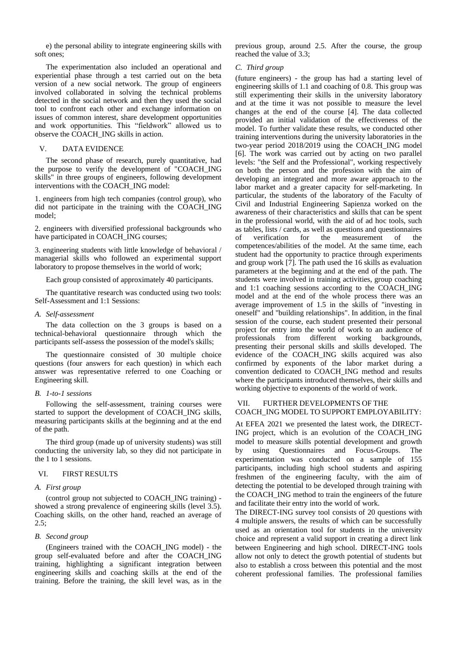e) the personal ability to integrate engineering skills with soft ones;

The experimentation also included an operational and experiential phase through a test carried out on the beta version of a new social network. The group of engineers involved collaborated in solving the technical problems detected in the social network and then they used the social tool to confront each other and exchange information on issues of common interest, share development opportunities and work opportunities. This "fieldwork" allowed us to observe the COACH\_ING skills in action.

# V. DATA EVIDENCE

The second phase of research, purely quantitative, had the purpose to verify the development of "COACH\_ING skills" in three groups of engineers, following development interventions with the COACH\_ING model:

1. engineers from high tech companies (control group), who did not participate in the training with the COACH\_ING model;

2. engineers with diversified professional backgrounds who have participated in COACH\_ING courses;

3. engineering students with little knowledge of behavioral / managerial skills who followed an experimental support laboratory to propose themselves in the world of work;

Each group consisted of approximately 40 participants.

The quantitative research was conducted using two tools: Self-Assessment and 1:1 Sessions:

### *A. Self-assessment*

The data collection on the 3 groups is based on a technical-behavioral questionnaire through which the participants self-assess the possession of the model's skills;

The questionnaire consisted of 30 multiple choice questions (four answers for each question) in which each answer was representative referred to one Coaching or Engineering skill.

#### *B. 1-to-1 sessions*

Following the self-assessment, training courses were started to support the development of COACH\_ING skills, measuring participants skills at the beginning and at the end of the path.

The third group (made up of university students) was still conducting the university lab, so they did not participate in the 1 to 1 sessions.

## VI. FIRST RESULTS

#### *A. First group*

(control group not subjected to COACH\_ING training) showed a strong prevalence of engineering skills (level 3.5). Coaching skills, on the other hand, reached an average of 2.5;

## *B. Second group*

(Engineers trained with the COACH\_ING model) - the group self-evaluated before and after the COACH\_ING training, highlighting a significant integration between engineering skills and coaching skills at the end of the training. Before the training, the skill level was, as in the

previous group, around 2.5. After the course, the group reached the value of 3.3;

#### *C. Third group*

(future engineers) - the group has had a starting level of engineering skills of 1.1 and coaching of 0.8. This group was still experimenting their skills in the university laboratory and at the time it was not possible to measure the level changes at the end of the course [4]. The data collected provided an initial validation of the effectiveness of the model. To further validate these results, we conducted other training interventions during the university laboratories in the two-year period 2018/2019 using the COACH\_ING model [6]. The work was carried out by acting on two parallel levels: "the Self and the Professional", working respectively on both the person and the profession with the aim of developing an integrated and more aware approach to the labor market and a greater capacity for self-marketing. In particular, the students of the laboratory of the Faculty of Civil and Industrial Engineering Sapienza worked on the awareness of their characteristics and skills that can be spent in the professional world, with the aid of ad hoc tools, such as tables, lists / cards, as well as questions and questionnaires of verification for the measurement of the competences/abilities of the model. At the same time, each student had the opportunity to practice through experiments and group work [7]. The path used the 16 skills as evaluation parameters at the beginning and at the end of the path. The students were involved in training activities, group coaching and 1:1 coaching sessions according to the COACH\_ING model and at the end of the whole process there was an average improvement of 1.5 in the skills of "investing in oneself" and "building relationships". In addition, in the final session of the course, each student presented their personal project for entry into the world of work to an audience of professionals from different working backgrounds, presenting their personal skills and skills developed. The evidence of the COACH\_ING skills acquired was also confirmed by exponents of the labor market during a convention dedicated to COACH\_ING method and results where the participants introduced themselves, their skills and working objective to exponents of the world of work.

# VII. FURTHER DEVELOPMENTS OF THE COACH\_ING MODEL TO SUPPORT EMPLOYABILITY:

At EFEA 2021 we presented the latest work, the DIRECT-ING project, which is an evolution of the COACH\_ING model to measure skills potential development and growth by using Questionnaires and Focus-Groups. The experimentation was conducted on a sample of 155 participants, including high school students and aspiring freshmen of the engineering faculty, with the aim of detecting the potential to be developed through training with the COACH\_ING method to train the engineers of the future and facilitate their entry into the world of work.

The DIRECT-ING survey tool consists of 20 questions with 4 multiple answers, the results of which can be successfully used as an orientation tool for students in the university choice and represent a valid support in creating a direct link between Engineering and high school. DIRECT-ING tools allow not only to detect the growth potential of students but also to establish a cross between this potential and the most coherent professional families. The professional families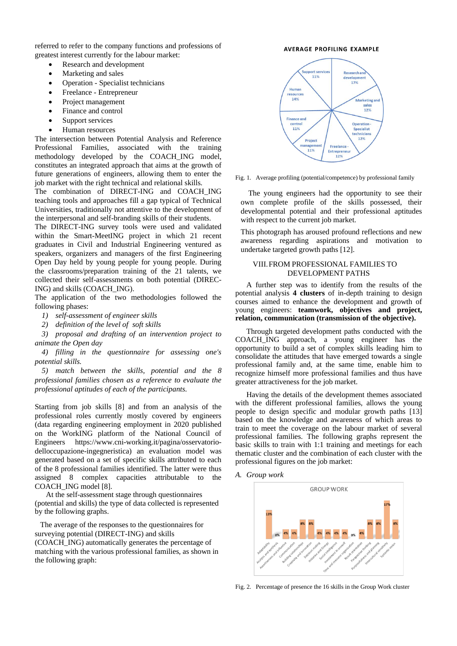referred to refer to the company functions and professions of greatest interest currently for the labour market:

- Research and development
- Marketing and sales
- Operation Specialist technicians
- Freelance Entrepreneur
- Project management
- Finance and control
- Support services
- Human resources

The intersection between Potential Analysis and Reference Professional Families, associated with the training methodology developed by the COACH\_ING model, constitutes an integrated approach that aims at the growth of future generations of engineers, allowing them to enter the job market with the right technical and relational skills.

The combination of DIRECT-ING and COACH\_ING teaching tools and approaches fill a gap typical of Technical Universities, traditionally not attentive to the development of the interpersonal and self-branding skills of their students.

The DIRECT-ING survey tools were used and validated within the Smart-MeetING project in which 21 recent graduates in Civil and Industrial Engineering ventured as speakers, organizers and managers of the first Engineering Open Day held by young people for young people. During the classrooms/preparation training of the 21 talents, we collected their self-assessments on both potential (DIREC-ING) and skills (COACH\_ING).

The application of the two methodologies followed the following phases:

- *1) self-assessment of engineer skills*
- *2) definition of the level of soft skills*

*3) proposal and drafting of an intervention project to animate the Open day*

*4) filling in the questionnaire for assessing one's potential skills.*

*5) match between the skills, potential and the 8 professional families chosen as a reference to evaluate the professional aptitudes of each of the participants.*

Starting from job skills [8] and from an analysis of the professional roles currently mostly covered by engineers (data regarding engineering employment in 2020 published on the WorkING platform of the National Council of Engineers https://www.cni-working.it/pagina/osservatoriodelloccupazione-ingegneristica) an evaluation model was generated based on a set of specific skills attributed to each of the 8 professional families identified. The latter were thus assigned 8 complex capacities attributable to the COACH\_ING model [8].

At the self-assessment stage through questionnaires (potential and skills) the type of data collected is represented by the following graphs.

The average of the responses to the questionnaires for surveying potential (DIRECT-ING) and skills (COACH\_ING) automatically generates the percentage of matching with the various professional families, as shown in the following graph:

#### **AVERAGE PROFILING EXAMPLE**



Fig. 1. Average profiling (potential/competence) by professional family

 The young engineers had the opportunity to see their own complete profile of the skills possessed, their developmental potential and their professional aptitudes with respect to the current job market.

This photograph has aroused profound reflections and new awareness regarding aspirations and motivation to undertake targeted growth paths [12].

# VIII.FROM PROFESSIONAL FAMILIES TO DEVELOPMENT PATHS

A further step was to identify from the results of the potential analysis **4 clusters** of in-depth training to design courses aimed to enhance the development and growth of young engineers: **teamwork, objectives and project, relation, communication (transmission of the objective).**

Through targeted development paths conducted with the COACH\_ING approach, a young engineer has the opportunity to build a set of complex skills leading him to consolidate the attitudes that have emerged towards a single professional family and, at the same time, enable him to recognize himself more professional families and thus have greater attractiveness for the job market.

Having the details of the development themes associated with the different professional families, allows the young people to design specific and modular growth paths [13] based on the knowledge and awareness of which areas to train to meet the coverage on the labour market of several professional families. The following graphs represent the basic skills to train with 1:1 training and meetings for each thematic cluster and the combination of each cluster with the professional figures on the job market:

*A. Group work*



Fig. 2. Percentage of presence the 16 skills in the Group Work cluster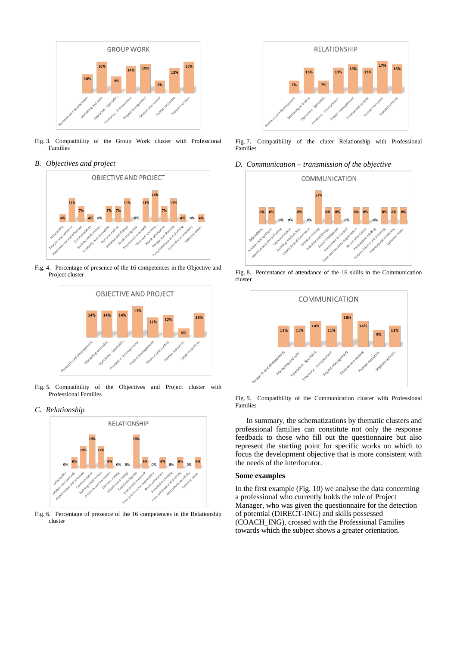

- Fig. 3. Compatibility of the Group Work cluster with Professional Families
- *B. Objectives and project*



Fig. 4. Percentage of presence of the 16 competences in the Objective and Project cluster



Fig. 5. Compatibility of the Objectives and Project cluster with Professional Families

*C. Relationship*



Fig. 6. Percentage of presence of the 16 competences in the Relationship cluster



Fig. 7. Compatibility of the cluter Relationship with Professional Families

*D. Communication – transmission of the objective*



Fig. 8. Percentance of attendance of the 16 skills in the Communication cluster



Fig. 9. Compatibility of the Communication cluster with Professional Families

In summary, the schematizations by thematic clusters and professional families can constitute not only the response feedback to those who fill out the questionnaire but also represent the starting point for specific works on which to focus the development objective that is more consistent with the needs of the interlocutor.

#### **Some examples**

In the first example (Fig. 10) we analyse the data concerning a professional who currently holds the role of Project Manager, who was given the questionnaire for the detection of potential (DIRECT-ING) and skills possessed (COACH\_ING), crossed with the Professional Families towards which the subject shows a greater orientation.